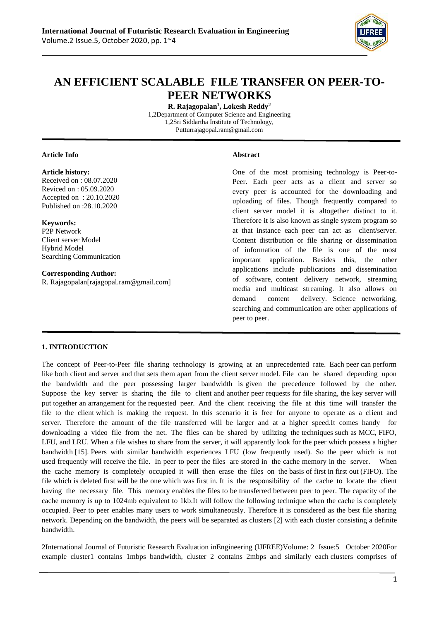

# **AN EFFICIENT SCALABLE FILE TRANSFER ON PEER-TO-PEER NETWORKS**

**R. Rajagopalan<sup>1</sup> , Lokesh Reddy<sup>2</sup>**

1,2Department of Computer Science and Engineering 1,2Sri Siddartha Institute of Technology, Putturrajagopal.ram@gmail.com

#### **Article Info**

#### **Article history:**

Received on : 08.07.2020 Reviced on : 05.09.2020 Accepted on : 20.10.2020 Published on :28.10.2020

**Keywords:** 

P2P Network Client server Model Hybrid Model Searching Communication

**Corresponding Author:**

R. Rajagopalan[rajagopal.ram@gmail.com]

#### **Abstract**

One of the most promising technology is Peer-to-Peer. Each peer acts as a client and server so every peer is accounted for the downloading and uploading of files. Though frequently compared to client server model it is altogether distinct to it. Therefore it is also known as single system program so at that instance each peer can act as client/server. Content distribution or file sharing or dissemination of information of the file is one of the most important application. Besides this, the other applications include publications and dissemination of software, content delivery network, streaming media and multicast streaming. It also allows on demand content delivery. Science networking, searching and communication are other applications of peer to peer.

## **1. INTRODUCTION**

The concept of Peer-to-Peer file sharing technology is growing at an unprecedented rate. Each peer can perform like both client and server and that sets them apart from the client server model. File can be shared depending upon the bandwidth and the peer possessing larger bandwidth is given the precedence followed by the other. Suppose the key server is sharing the file to client and another peer requests for file sharing, the key server will put together an arrangement for the requested peer. And the client receiving the file at this time will transfer the file to the client which is making the request. In this scenario it is free for anyone to operate as a client and server. Therefore the amount of the file transferred will be larger and at a higher speed.It comes handy for downloading a video file from the net. The files can be shared by utilizing the techniques such as MCC, FIFO, LFU, and LRU. When a file wishes to share from the server, it will apparently look for the peer which possess a higher bandwidth [15]. Peers with similar bandwidth experiences LFU (low frequently used). So the peer which is not used frequently will receive the file. In peer to peer the files are stored in the cache memory in the server. When the cache memory is completely occupied it will then erase the files on the basis of first in first out (FIFO). The file which is deleted first will be the one which was first in. It is the responsibility of the cache to locate the client having the necessary file. This memory enables the files to be transferred between peer to peer. The capacity of the cache memory is up to 1024mb equivalent to 1kb.It will follow the following technique when the cache is completely occupied. Peer to peer enables many users to work simultaneously. Therefore it is considered as the best file sharing network. Depending on the bandwidth, the peers will be separated as clusters [2] with each cluster consisting a definite bandwidth.

2International Journal of Futuristic Research Evaluation inEngineering (IJFREE)Volume: 2 Issue:5 October 2020For example cluster1 contains 1mbps bandwidth, cluster 2 contains 2mbps and similarly each clusters comprises of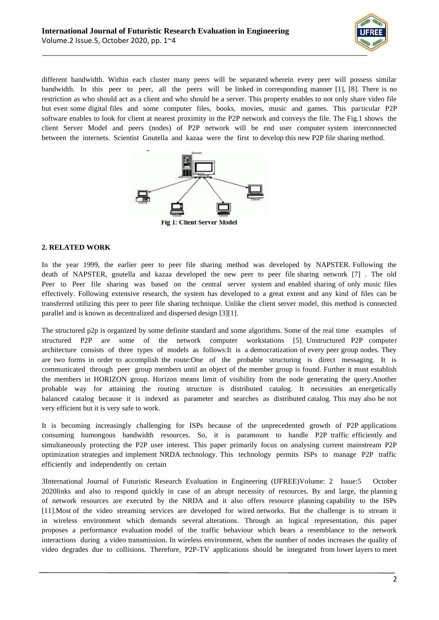

different bandwidth. Within each cluster many peers will be separated wherein every peer will possess similar bandwidth. In this peer to peer, all the peers will be linked in corresponding manner [1], [8]. There is no restriction as who should act as a client and who should be a server. This property enables to not only share video file but even some digital files and some computer files, books, movies, music and games. This particular P2P software enables to look for client at nearest proximity in the P2P network and conveys the file. The Fig.1 shows the client Server Model and peers (nodes) of P2P network will be end user computer system interconnected between the internets. Scientist Gnutella and kazaa were the first to develop this new P2P file sharing method.



# **Fig 1: Client Server Model**

## **2. RELATED WORK**

In the year 1999, the earlier peer to peer file sharing method was developed by NAPSTER. Following the death of NAPSTER, gnutella and kazaa developed the new peer to peer file sharing network [7] . The old Peer to Peer file sharing was based on the central server system and enabled sharing of only music files effectively. Following extensive research, the system has developed to a great extent and any kind of files can be transferred utilizing this peer to peer file sharing technique. Unlike the client server model, this method is connected parallel and is known as decentralized and dispersed design [3][1].

The structured p2p is organized by some definite standard and some algorithms. Some of the real time examples of structured P2P are some of the network computer workstations [5]. Unstructured P2P computer architecture consists of three types of models as follows:It is a democratization of every peer group nodes. They are two forms in order to accomplish the route:One of the probable structuring is direct messaging. It is communicated through peer group members until an object of the member group is found. Further it must establish the members in HORIZON group. Horizon means limit of visibility from the node generating the query.Another probable way for attaining the routing structure is distributed catalog. It necessities an energetically balanced catalog because it is indexed as parameter and searches as distributed catalog. This may also be not very efficient but it is very safe to work.

It is becoming increasingly challenging for ISPs because of the unprecedented growth of P2P applications consuming humongous bandwidth resources. So, it is paramount to handle P2P traffic efficiently and simultaneously protecting the P2P user interest. This paper primarily focus on analysing current mainstream P2P optimization strategies and implement NRDA technology. This technology permits ISPs to manage P2P traffic efficiently and independently on certain

3International Journal of Futuristic Research Evaluation in Engineering (IJFREE)Volume: 2 Issue:5 October 2020links and also to respond quickly in case of an abrupt necessity of resources. By and large, the planning of network resources are executed by the NRDA and it also offers resource planning capability to the ISPs [11].Most of the video streaming services are developed for wired networks. But the challenge is to stream it in wireless environment which demands several alterations. Through an logical representation, this paper proposes a performance evaluation model of the traffic behaviour which bears a resemblance to the network interactions during a video transmission. In wireless environment, when the number of nodes increases the quality of video degrades due to collisions. Therefore, P2P-TV applications should be integrated from lower layers to meet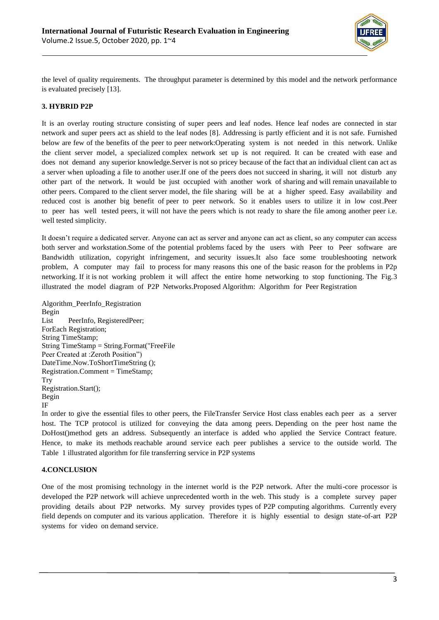

the level of quality requirements. The throughput parameter is determined by this model and the network performance is evaluated precisely [13].

# **3. HYBRID P2P**

It is an overlay routing structure consisting of super peers and leaf nodes. Hence leaf nodes are connected in star network and super peers act as shield to the leaf nodes [8]. Addressing is partly efficient and it is not safe. Furnished below are few of the benefits of the peer to peer network:Operating system is not needed in this network. Unlike the client server model, a specialized complex network set up is not required. It can be created with ease and does not demand any superior knowledge.Server is not so pricey because of the fact that an individual client can act as a server when uploading a file to another user.If one of the peers does not succeed in sharing, it will not disturb any other part of the network. It would be just occupied with another work of sharing and will remain unavailable to other peers. Compared to the client server model, the file sharing will be at a higher speed. Easy availability and reduced cost is another big benefit of peer to peer network. So it enables users to utilize it in low cost.Peer to peer has well tested peers, it will not have the peers which is not ready to share the file among another peer i.e. well tested simplicity.

It doesn't require a dedicated server. Anyone can act as server and anyone can act as client, so any computer can access both server and workstation.Some of the potential problems faced by the users with Peer to Peer software are Bandwidth utilization, copyright infringement, and security issues.It also face some troubleshooting network problem, A computer may fail to process for many reasons this one of the basic reason for the problems in P2p networking. If it is not working problem it will affect the entire home networking to stop functioning. The Fig.3 illustrated the model diagram of P2P Networks.Proposed Algorithm: Algorithm for Peer Registration

Algorithm\_PeerInfo\_Registration Begin List PeerInfo, RegisteredPeer; ForEach Registration; String TimeStamp; String TimeStamp = String.Format("FreeFile Peer Created at :Zeroth Position") DateTime.Now.ToShortTimeString (); Registration.Comment = TimeStamp; Try Registration.Start(); Begin IF

In order to give the essential files to other peers, the FileTransfer Service Host class enables each peer as a server host. The TCP protocol is utilized for conveying the data among peers. Depending on the peer host name the DoHost()method gets an address. Subsequently an interface is added who applied the Service Contract feature. Hence, to make its methods reachable around service each peer publishes a service to the outside world. The Table 1 illustrated algorithm for file transferring service in P2P systems

## **4.CONCLUSION**

One of the most promising technology in the internet world is the P2P network. After the multi-core processor is developed the P2P network will achieve unprecedented worth in the web. This study is a complete survey paper providing details about P2P networks. My survey provides types of P2P computing algorithms. Currently every field depends on computer and its various application. Therefore it is highly essential to design state-of-art P2P systems for video on demand service.